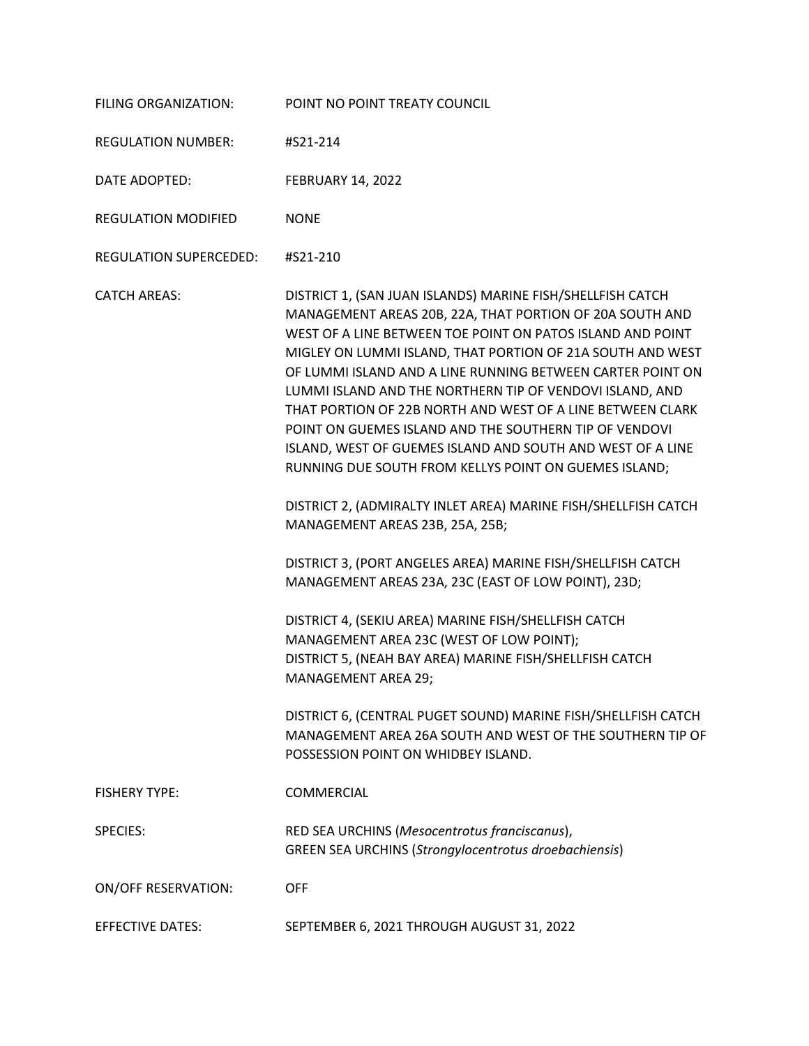| FILING ORGANIZATION:       | POINT NO POINT TREATY COUNCIL                                                                                                                                                                                                                                                                                                                                                                                                                                                                                                                                                                                                                                                                                                                                                                                                                                                                                                                                                                                                                                                                                                                                                                                     |
|----------------------------|-------------------------------------------------------------------------------------------------------------------------------------------------------------------------------------------------------------------------------------------------------------------------------------------------------------------------------------------------------------------------------------------------------------------------------------------------------------------------------------------------------------------------------------------------------------------------------------------------------------------------------------------------------------------------------------------------------------------------------------------------------------------------------------------------------------------------------------------------------------------------------------------------------------------------------------------------------------------------------------------------------------------------------------------------------------------------------------------------------------------------------------------------------------------------------------------------------------------|
| <b>REGULATION NUMBER:</b>  | #S21-214                                                                                                                                                                                                                                                                                                                                                                                                                                                                                                                                                                                                                                                                                                                                                                                                                                                                                                                                                                                                                                                                                                                                                                                                          |
| DATE ADOPTED:              | <b>FEBRUARY 14, 2022</b>                                                                                                                                                                                                                                                                                                                                                                                                                                                                                                                                                                                                                                                                                                                                                                                                                                                                                                                                                                                                                                                                                                                                                                                          |
| <b>REGULATION MODIFIED</b> | <b>NONE</b>                                                                                                                                                                                                                                                                                                                                                                                                                                                                                                                                                                                                                                                                                                                                                                                                                                                                                                                                                                                                                                                                                                                                                                                                       |
| REGULATION SUPERCEDED:     | #S21-210                                                                                                                                                                                                                                                                                                                                                                                                                                                                                                                                                                                                                                                                                                                                                                                                                                                                                                                                                                                                                                                                                                                                                                                                          |
| <b>CATCH AREAS:</b>        | DISTRICT 1, (SAN JUAN ISLANDS) MARINE FISH/SHELLFISH CATCH<br>MANAGEMENT AREAS 20B, 22A, THAT PORTION OF 20A SOUTH AND<br>WEST OF A LINE BETWEEN TOE POINT ON PATOS ISLAND AND POINT<br>MIGLEY ON LUMMI ISLAND, THAT PORTION OF 21A SOUTH AND WEST<br>OF LUMMI ISLAND AND A LINE RUNNING BETWEEN CARTER POINT ON<br>LUMMI ISLAND AND THE NORTHERN TIP OF VENDOVI ISLAND, AND<br>THAT PORTION OF 22B NORTH AND WEST OF A LINE BETWEEN CLARK<br>POINT ON GUEMES ISLAND AND THE SOUTHERN TIP OF VENDOVI<br>ISLAND, WEST OF GUEMES ISLAND AND SOUTH AND WEST OF A LINE<br>RUNNING DUE SOUTH FROM KELLYS POINT ON GUEMES ISLAND;<br>DISTRICT 2, (ADMIRALTY INLET AREA) MARINE FISH/SHELLFISH CATCH<br>MANAGEMENT AREAS 23B, 25A, 25B;<br>DISTRICT 3, (PORT ANGELES AREA) MARINE FISH/SHELLFISH CATCH<br>MANAGEMENT AREAS 23A, 23C (EAST OF LOW POINT), 23D;<br>DISTRICT 4, (SEKIU AREA) MARINE FISH/SHELLFISH CATCH<br>MANAGEMENT AREA 23C (WEST OF LOW POINT);<br>DISTRICT 5, (NEAH BAY AREA) MARINE FISH/SHELLFISH CATCH<br>MANAGEMENT AREA 29;<br>DISTRICT 6, (CENTRAL PUGET SOUND) MARINE FISH/SHELLFISH CATCH<br>MANAGEMENT AREA 26A SOUTH AND WEST OF THE SOUTHERN TIP OF<br>POSSESSION POINT ON WHIDBEY ISLAND. |
| <b>FISHERY TYPE:</b>       | <b>COMMERCIAL</b>                                                                                                                                                                                                                                                                                                                                                                                                                                                                                                                                                                                                                                                                                                                                                                                                                                                                                                                                                                                                                                                                                                                                                                                                 |
| <b>SPECIES:</b>            | RED SEA URCHINS (Mesocentrotus franciscanus),<br><b>GREEN SEA URCHINS (Strongylocentrotus droebachiensis)</b>                                                                                                                                                                                                                                                                                                                                                                                                                                                                                                                                                                                                                                                                                                                                                                                                                                                                                                                                                                                                                                                                                                     |
| <b>ON/OFF RESERVATION:</b> | <b>OFF</b>                                                                                                                                                                                                                                                                                                                                                                                                                                                                                                                                                                                                                                                                                                                                                                                                                                                                                                                                                                                                                                                                                                                                                                                                        |
| <b>EFFECTIVE DATES:</b>    | SEPTEMBER 6, 2021 THROUGH AUGUST 31, 2022                                                                                                                                                                                                                                                                                                                                                                                                                                                                                                                                                                                                                                                                                                                                                                                                                                                                                                                                                                                                                                                                                                                                                                         |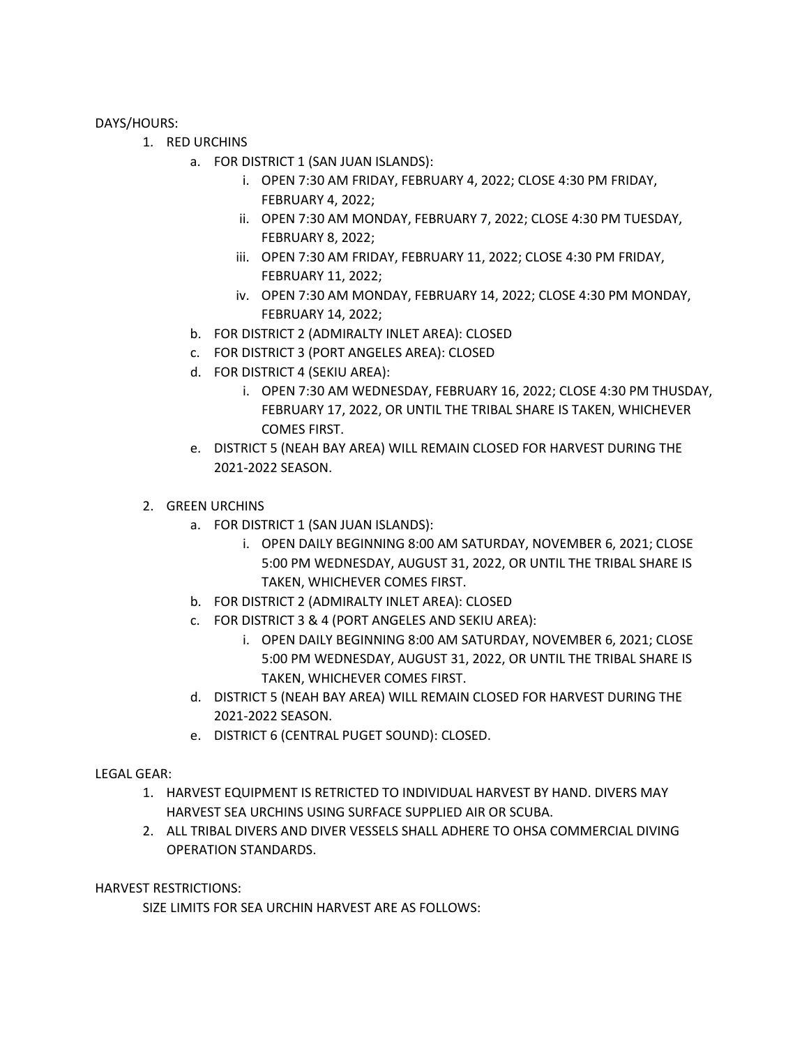DAYS/HOURS:

- 1. RED URCHINS
	- a. FOR DISTRICT 1 (SAN JUAN ISLANDS):
		- i. OPEN 7:30 AM FRIDAY, FEBRUARY 4, 2022; CLOSE 4:30 PM FRIDAY, FEBRUARY 4, 2022;
		- ii. OPEN 7:30 AM MONDAY, FEBRUARY 7, 2022; CLOSE 4:30 PM TUESDAY, FEBRUARY 8, 2022;
		- iii. OPEN 7:30 AM FRIDAY, FEBRUARY 11, 2022; CLOSE 4:30 PM FRIDAY, FEBRUARY 11, 2022;
		- iv. OPEN 7:30 AM MONDAY, FEBRUARY 14, 2022; CLOSE 4:30 PM MONDAY, FEBRUARY 14, 2022;
	- b. FOR DISTRICT 2 (ADMIRALTY INLET AREA): CLOSED
	- c. FOR DISTRICT 3 (PORT ANGELES AREA): CLOSED
	- d. FOR DISTRICT 4 (SEKIU AREA):
		- i. OPEN 7:30 AM WEDNESDAY, FEBRUARY 16, 2022; CLOSE 4:30 PM THUSDAY, FEBRUARY 17, 2022, OR UNTIL THE TRIBAL SHARE IS TAKEN, WHICHEVER COMES FIRST.
	- e. DISTRICT 5 (NEAH BAY AREA) WILL REMAIN CLOSED FOR HARVEST DURING THE 2021-2022 SEASON.
- 2. GREEN URCHINS
	- a. FOR DISTRICT 1 (SAN JUAN ISLANDS):
		- i. OPEN DAILY BEGINNING 8:00 AM SATURDAY, NOVEMBER 6, 2021; CLOSE 5:00 PM WEDNESDAY, AUGUST 31, 2022, OR UNTIL THE TRIBAL SHARE IS TAKEN, WHICHEVER COMES FIRST.
	- b. FOR DISTRICT 2 (ADMIRALTY INLET AREA): CLOSED
	- c. FOR DISTRICT 3 & 4 (PORT ANGELES AND SEKIU AREA):
		- i. OPEN DAILY BEGINNING 8:00 AM SATURDAY, NOVEMBER 6, 2021; CLOSE 5:00 PM WEDNESDAY, AUGUST 31, 2022, OR UNTIL THE TRIBAL SHARE IS TAKEN, WHICHEVER COMES FIRST.
	- d. DISTRICT 5 (NEAH BAY AREA) WILL REMAIN CLOSED FOR HARVEST DURING THE 2021-2022 SEASON.
	- e. DISTRICT 6 (CENTRAL PUGET SOUND): CLOSED.

## LEGAL GEAR:

- 1. HARVEST EQUIPMENT IS RETRICTED TO INDIVIDUAL HARVEST BY HAND. DIVERS MAY HARVEST SEA URCHINS USING SURFACE SUPPLIED AIR OR SCUBA.
- 2. ALL TRIBAL DIVERS AND DIVER VESSELS SHALL ADHERE TO OHSA COMMERCIAL DIVING OPERATION STANDARDS.

HARVEST RESTRICTIONS:

SIZE LIMITS FOR SEA URCHIN HARVEST ARE AS FOLLOWS: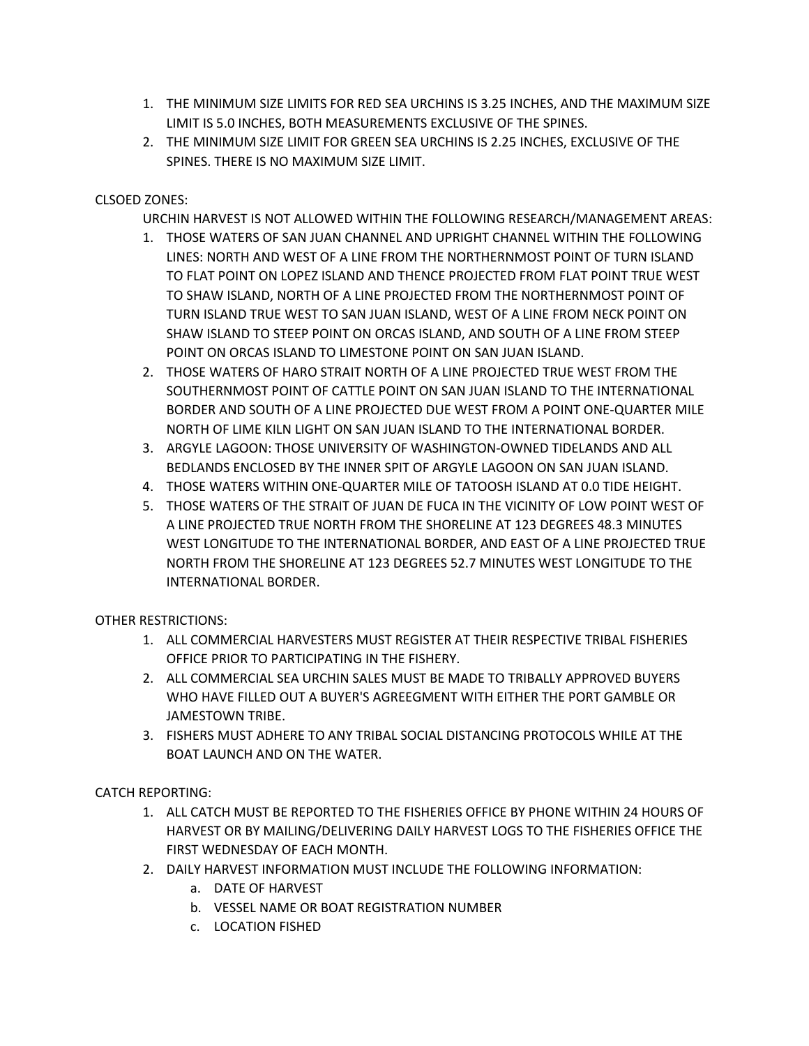- 1. THE MINIMUM SIZE LIMITS FOR RED SEA URCHINS IS 3.25 INCHES, AND THE MAXIMUM SIZE LIMIT IS 5.0 INCHES, BOTH MEASUREMENTS EXCLUSIVE OF THE SPINES.
- 2. THE MINIMUM SIZE LIMIT FOR GREEN SEA URCHINS IS 2.25 INCHES, EXCLUSIVE OF THE SPINES. THERE IS NO MAXIMUM SIZE LIMIT.

## CLSOED ZONES:

URCHIN HARVEST IS NOT ALLOWED WITHIN THE FOLLOWING RESEARCH/MANAGEMENT AREAS:

- 1. THOSE WATERS OF SAN JUAN CHANNEL AND UPRIGHT CHANNEL WITHIN THE FOLLOWING LINES: NORTH AND WEST OF A LINE FROM THE NORTHERNMOST POINT OF TURN ISLAND TO FLAT POINT ON LOPEZ ISLAND AND THENCE PROJECTED FROM FLAT POINT TRUE WEST TO SHAW ISLAND, NORTH OF A LINE PROJECTED FROM THE NORTHERNMOST POINT OF TURN ISLAND TRUE WEST TO SAN JUAN ISLAND, WEST OF A LINE FROM NECK POINT ON SHAW ISLAND TO STEEP POINT ON ORCAS ISLAND, AND SOUTH OF A LINE FROM STEEP POINT ON ORCAS ISLAND TO LIMESTONE POINT ON SAN JUAN ISLAND.
- 2. THOSE WATERS OF HARO STRAIT NORTH OF A LINE PROJECTED TRUE WEST FROM THE SOUTHERNMOST POINT OF CATTLE POINT ON SAN JUAN ISLAND TO THE INTERNATIONAL BORDER AND SOUTH OF A LINE PROJECTED DUE WEST FROM A POINT ONE-QUARTER MILE NORTH OF LIME KILN LIGHT ON SAN JUAN ISLAND TO THE INTERNATIONAL BORDER.
- 3. ARGYLE LAGOON: THOSE UNIVERSITY OF WASHINGTON-OWNED TIDELANDS AND ALL BEDLANDS ENCLOSED BY THE INNER SPIT OF ARGYLE LAGOON ON SAN JUAN ISLAND.
- 4. THOSE WATERS WITHIN ONE-QUARTER MILE OF TATOOSH ISLAND AT 0.0 TIDE HEIGHT.
- 5. THOSE WATERS OF THE STRAIT OF JUAN DE FUCA IN THE VICINITY OF LOW POINT WEST OF A LINE PROJECTED TRUE NORTH FROM THE SHORELINE AT 123 DEGREES 48.3 MINUTES WEST LONGITUDE TO THE INTERNATIONAL BORDER, AND EAST OF A LINE PROJECTED TRUE NORTH FROM THE SHORELINE AT 123 DEGREES 52.7 MINUTES WEST LONGITUDE TO THE INTERNATIONAL BORDER.

OTHER RESTRICTIONS:

- 1. ALL COMMERCIAL HARVESTERS MUST REGISTER AT THEIR RESPECTIVE TRIBAL FISHERIES OFFICE PRIOR TO PARTICIPATING IN THE FISHERY.
- 2. ALL COMMERCIAL SEA URCHIN SALES MUST BE MADE TO TRIBALLY APPROVED BUYERS WHO HAVE FILLED OUT A BUYER'S AGREEGMENT WITH EITHER THE PORT GAMBLE OR JAMESTOWN TRIBE.
- 3. FISHERS MUST ADHERE TO ANY TRIBAL SOCIAL DISTANCING PROTOCOLS WHILE AT THE BOAT LAUNCH AND ON THE WATER.

CATCH REPORTING:

- 1. ALL CATCH MUST BE REPORTED TO THE FISHERIES OFFICE BY PHONE WITHIN 24 HOURS OF HARVEST OR BY MAILING/DELIVERING DAILY HARVEST LOGS TO THE FISHERIES OFFICE THE FIRST WEDNESDAY OF EACH MONTH.
- 2. DAILY HARVEST INFORMATION MUST INCLUDE THE FOLLOWING INFORMATION:
	- a. DATE OF HARVEST
	- b. VESSEL NAME OR BOAT REGISTRATION NUMBER
	- c. LOCATION FISHED